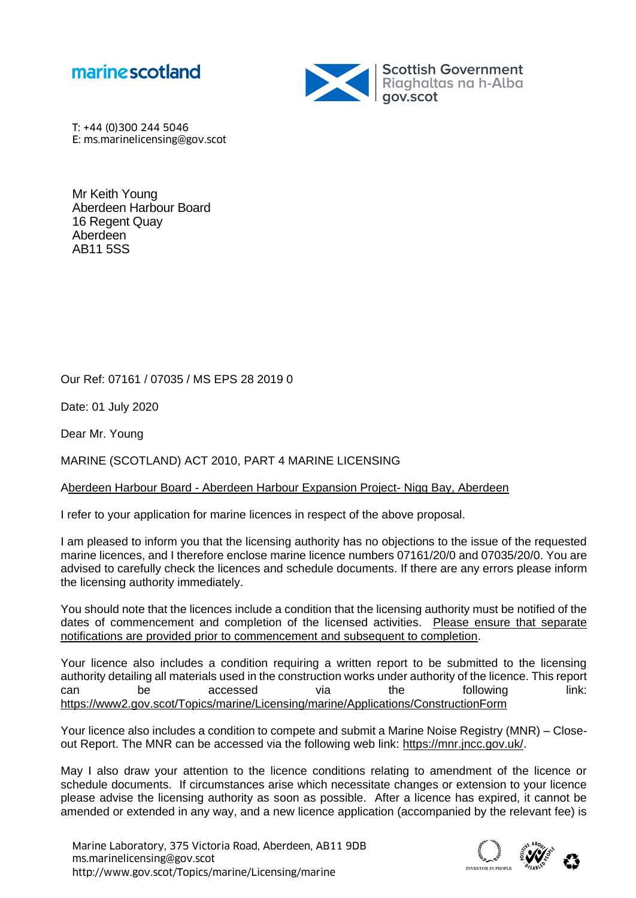



T: +44 (0)300 244 5046 E: ms.marinelicensing@gov.scot

Mr Keith Young Aberdeen Harbour Board 16 Regent Quay Aberdeen AB11 5SS

Our Ref: 07161 / 07035 / MS EPS 28 2019 0

Date: 01 July 2020

Dear Mr. Young

MARINE (SCOTLAND) ACT 2010, PART 4 MARINE LICENSING

## Aberdeen Harbour Board - Aberdeen Harbour Expansion Project- Nigg Bay, Aberdeen

I refer to your application for marine licences in respect of the above proposal.

I am pleased to inform you that the licensing authority has no objections to the issue of the requested marine licences, and I therefore enclose marine licence numbers 07161/20/0 and 07035/20/0. You are advised to carefully check the licences and schedule documents. If there are any errors please inform the licensing authority immediately.

You should note that the licences include a condition that the licensing authority must be notified of the dates of commencement and completion of the licensed activities. Please ensure that separate notifications are provided prior to commencement and subsequent to completion.

Your licence also includes a condition requiring a written report to be submitted to the licensing authority detailing all materials used in the construction works under authority of the licence. This report can be accessed via the following link: <https://www2.gov.scot/Topics/marine/Licensing/marine/Applications/ConstructionForm>

Your licence also includes a condition to compete and submit a Marine Noise Registry (MNR) – Closeout Report. The MNR can be accessed via the following web link: [https://mnr.jncc.gov.uk/.](https://mnr.jncc.gov.uk/)

May I also draw your attention to the licence conditions relating to amendment of the licence or schedule documents. If circumstances arise which necessitate changes or extension to your licence please advise the licensing authority as soon as possible. After a licence has expired, it cannot be amended or extended in any way, and a new licence application (accompanied by the relevant fee) is